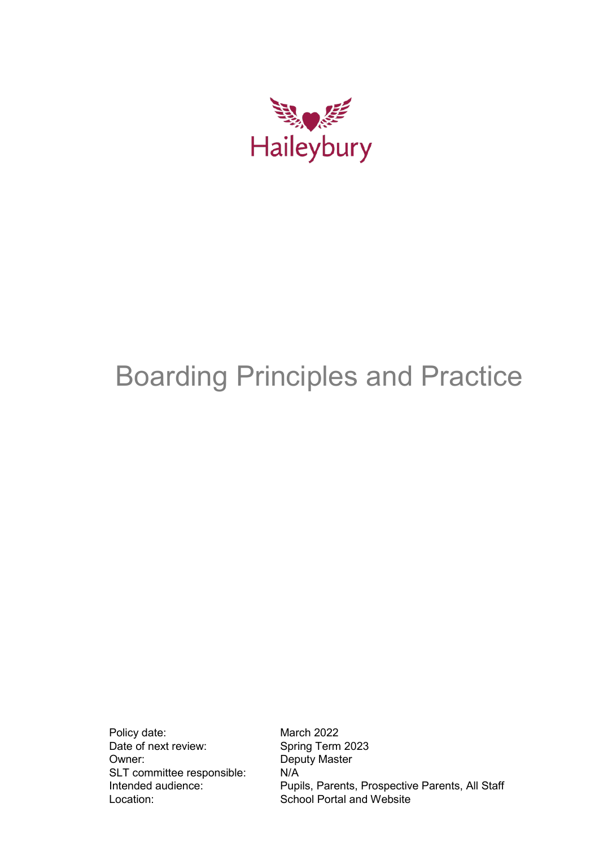

# Boarding Principles and Practice

Policy date: March 2022<br>Date of next review: Spring Term Owner: Deputy Master SLT committee responsible: N/A Location: School Portal and Website

Spring Term 2023 Intended audience: Pupils, Parents, Prospective Parents, All Staff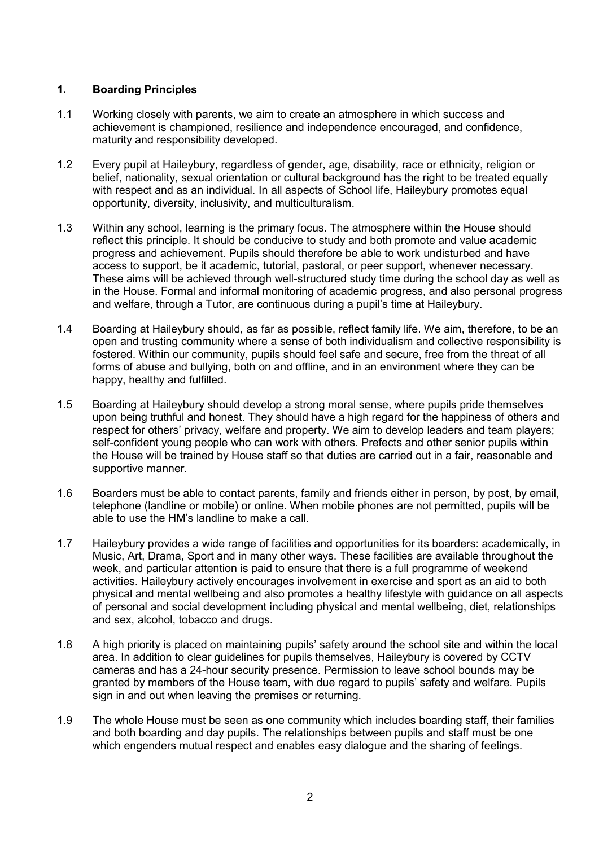## **1. Boarding Principles**

- 1.1 Working closely with parents, we aim to create an atmosphere in which success and achievement is championed, resilience and independence encouraged, and confidence, maturity and responsibility developed.
- 1.2 Every pupil at Haileybury, regardless of gender, age, disability, race or ethnicity, religion or belief, nationality, sexual orientation or cultural background has the right to be treated equally with respect and as an individual. In all aspects of School life, Haileybury promotes equal opportunity, diversity, inclusivity, and multiculturalism.
- 1.3 Within any school, learning is the primary focus. The atmosphere within the House should reflect this principle. It should be conducive to study and both promote and value academic progress and achievement. Pupils should therefore be able to work undisturbed and have access to support, be it academic, tutorial, pastoral, or peer support, whenever necessary. These aims will be achieved through well-structured study time during the school day as well as in the House. Formal and informal monitoring of academic progress, and also personal progress and welfare, through a Tutor, are continuous during a pupil's time at Haileybury.
- 1.4 Boarding at Haileybury should, as far as possible, reflect family life. We aim, therefore, to be an open and trusting community where a sense of both individualism and collective responsibility is fostered. Within our community, pupils should feel safe and secure, free from the threat of all forms of abuse and bullying, both on and offline, and in an environment where they can be happy, healthy and fulfilled.
- 1.5 Boarding at Haileybury should develop a strong moral sense, where pupils pride themselves upon being truthful and honest. They should have a high regard for the happiness of others and respect for others' privacy, welfare and property. We aim to develop leaders and team players; self-confident young people who can work with others. Prefects and other senior pupils within the House will be trained by House staff so that duties are carried out in a fair, reasonable and supportive manner.
- 1.6 Boarders must be able to contact parents, family and friends either in person, by post, by email, telephone (landline or mobile) or online. When mobile phones are not permitted, pupils will be able to use the HM's landline to make a call.
- 1.7 Haileybury provides a wide range of facilities and opportunities for its boarders: academically, in Music, Art, Drama, Sport and in many other ways. These facilities are available throughout the week, and particular attention is paid to ensure that there is a full programme of weekend activities. Haileybury actively encourages involvement in exercise and sport as an aid to both physical and mental wellbeing and also promotes a healthy lifestyle with guidance on all aspects of personal and social development including physical and mental wellbeing, diet, relationships and sex, alcohol, tobacco and drugs.
- 1.8 A high priority is placed on maintaining pupils' safety around the school site and within the local area. In addition to clear guidelines for pupils themselves, Haileybury is covered by CCTV cameras and has a 24-hour security presence. Permission to leave school bounds may be granted by members of the House team, with due regard to pupils' safety and welfare. Pupils sign in and out when leaving the premises or returning.
- 1.9 The whole House must be seen as one community which includes boarding staff, their families and both boarding and day pupils. The relationships between pupils and staff must be one which engenders mutual respect and enables easy dialogue and the sharing of feelings.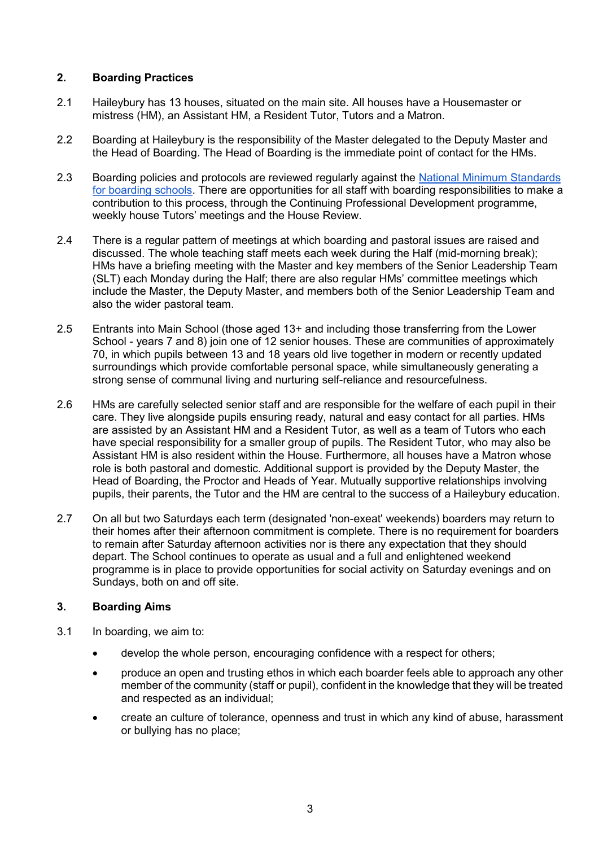# **2. Boarding Practices**

- 2.1 Haileybury has 13 houses, situated on the main site. All houses have a Housemaster or mistress (HM), an Assistant HM, a Resident Tutor, Tutors and a Matron.
- 2.2 Boarding at Haileybury is the responsibility of the Master delegated to the Deputy Master and the Head of Boarding. The Head of Boarding is the immediate point of contact for the HMs.
- 2.3 Boarding policies and protocols are reviewed regularly against the National Minimum Standards [for boarding schools.](https://assets.publishing.service.gov.uk/government/uploads/system/uploads/attachment_data/file/416186/20150319_nms_bs_standards.pdf) There are opportunities for all staff with boarding responsibilities to make a contribution to this process, through the Continuing Professional Development programme, weekly house Tutors' meetings and the House Review.
- 2.4 There is a regular pattern of meetings at which boarding and pastoral issues are raised and discussed. The whole teaching staff meets each week during the Half (mid-morning break); HMs have a briefing meeting with the Master and key members of the Senior Leadership Team (SLT) each Monday during the Half; there are also regular HMs' committee meetings which include the Master, the Deputy Master, and members both of the Senior Leadership Team and also the wider pastoral team.
- 2.5 Entrants into Main School (those aged 13+ and including those transferring from the Lower School - years 7 and 8) join one of 12 senior houses. These are communities of approximately 70, in which pupils between 13 and 18 years old live together in modern or recently updated surroundings which provide comfortable personal space, while simultaneously generating a strong sense of communal living and nurturing self-reliance and resourcefulness.
- 2.6 HMs are carefully selected senior staff and are responsible for the welfare of each pupil in their care. They live alongside pupils ensuring ready, natural and easy contact for all parties. HMs are assisted by an Assistant HM and a Resident Tutor, as well as a team of Tutors who each have special responsibility for a smaller group of pupils. The Resident Tutor, who may also be Assistant HM is also resident within the House. Furthermore, all houses have a Matron whose role is both pastoral and domestic. Additional support is provided by the Deputy Master, the Head of Boarding, the Proctor and Heads of Year. Mutually supportive relationships involving pupils, their parents, the Tutor and the HM are central to the success of a Haileybury education.
- 2.7 On all but two Saturdays each term (designated 'non-exeat' weekends) boarders may return to their homes after their afternoon commitment is complete. There is no requirement for boarders to remain after Saturday afternoon activities nor is there any expectation that they should depart. The School continues to operate as usual and a full and enlightened weekend programme is in place to provide opportunities for social activity on Saturday evenings and on Sundays, both on and off site.

# **3. Boarding Aims**

- 3.1 In boarding, we aim to:
	- develop the whole person, encouraging confidence with a respect for others;
	- produce an open and trusting ethos in which each boarder feels able to approach any other member of the community (staff or pupil), confident in the knowledge that they will be treated and respected as an individual;
	- create an culture of tolerance, openness and trust in which any kind of abuse, harassment or bullying has no place;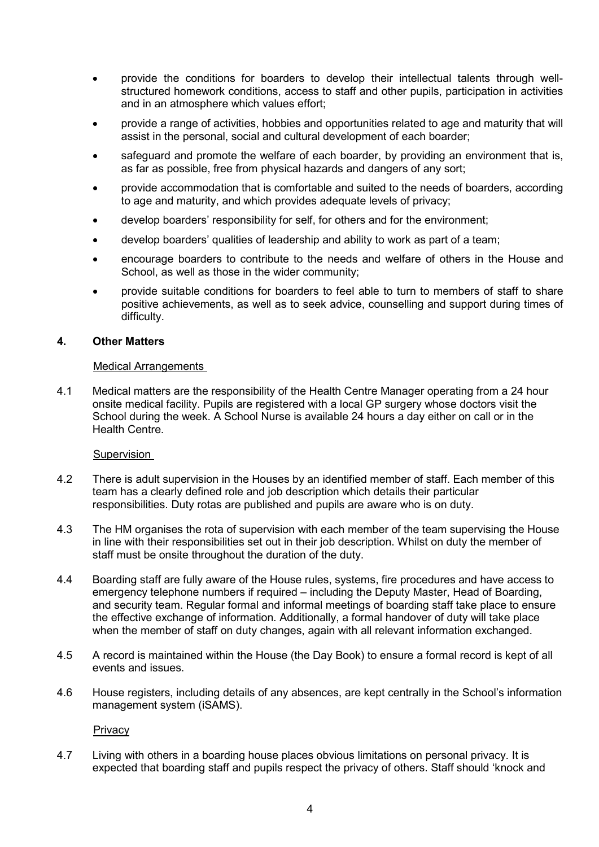- provide the conditions for boarders to develop their intellectual talents through wellstructured homework conditions, access to staff and other pupils, participation in activities and in an atmosphere which values effort;
- provide a range of activities, hobbies and opportunities related to age and maturity that will assist in the personal, social and cultural development of each boarder;
- safeguard and promote the welfare of each boarder, by providing an environment that is, as far as possible, free from physical hazards and dangers of any sort;
- provide accommodation that is comfortable and suited to the needs of boarders, according to age and maturity, and which provides adequate levels of privacy;
- develop boarders' responsibility for self, for others and for the environment;
- develop boarders' qualities of leadership and ability to work as part of a team;
- encourage boarders to contribute to the needs and welfare of others in the House and School, as well as those in the wider community;
- provide suitable conditions for boarders to feel able to turn to members of staff to share positive achievements, as well as to seek advice, counselling and support during times of difficulty.

#### **4. Other Matters**

#### Medical Arrangements

4.1 Medical matters are the responsibility of the Health Centre Manager operating from a 24 hour onsite medical facility. Pupils are registered with a local GP surgery whose doctors visit the School during the week. A School Nurse is available 24 hours a day either on call or in the Health Centre.

#### Supervision

- 4.2 There is adult supervision in the Houses by an identified member of staff. Each member of this team has a clearly defined role and job description which details their particular responsibilities. Duty rotas are published and pupils are aware who is on duty.
- 4.3 The HM organises the rota of supervision with each member of the team supervising the House in line with their responsibilities set out in their job description. Whilst on duty the member of staff must be onsite throughout the duration of the duty.
- 4.4 Boarding staff are fully aware of the House rules, systems, fire procedures and have access to emergency telephone numbers if required – including the Deputy Master, Head of Boarding, and security team. Regular formal and informal meetings of boarding staff take place to ensure the effective exchange of information. Additionally, a formal handover of duty will take place when the member of staff on duty changes, again with all relevant information exchanged.
- 4.5 A record is maintained within the House (the Day Book) to ensure a formal record is kept of all events and issues.
- 4.6 House registers, including details of any absences, are kept centrally in the School's information management system (iSAMS).

**Privacy** 

4.7 Living with others in a boarding house places obvious limitations on personal privacy. It is expected that boarding staff and pupils respect the privacy of others. Staff should 'knock and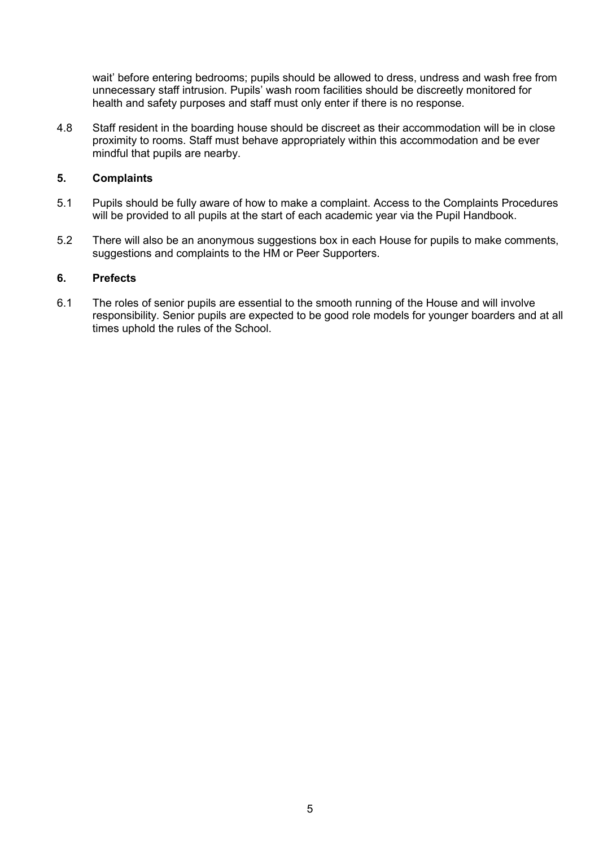wait' before entering bedrooms; pupils should be allowed to dress, undress and wash free from unnecessary staff intrusion. Pupils' wash room facilities should be discreetly monitored for health and safety purposes and staff must only enter if there is no response.

4.8 Staff resident in the boarding house should be discreet as their accommodation will be in close proximity to rooms. Staff must behave appropriately within this accommodation and be ever mindful that pupils are nearby.

### **5. Complaints**

- 5.1 Pupils should be fully aware of how to make a complaint. Access to the Complaints Procedures will be provided to all pupils at the start of each academic year via the Pupil Handbook.
- 5.2 There will also be an anonymous suggestions box in each House for pupils to make comments, suggestions and complaints to the HM or Peer Supporters.

# **6. Prefects**

6.1 The roles of senior pupils are essential to the smooth running of the House and will involve responsibility. Senior pupils are expected to be good role models for younger boarders and at all times uphold the rules of the School.